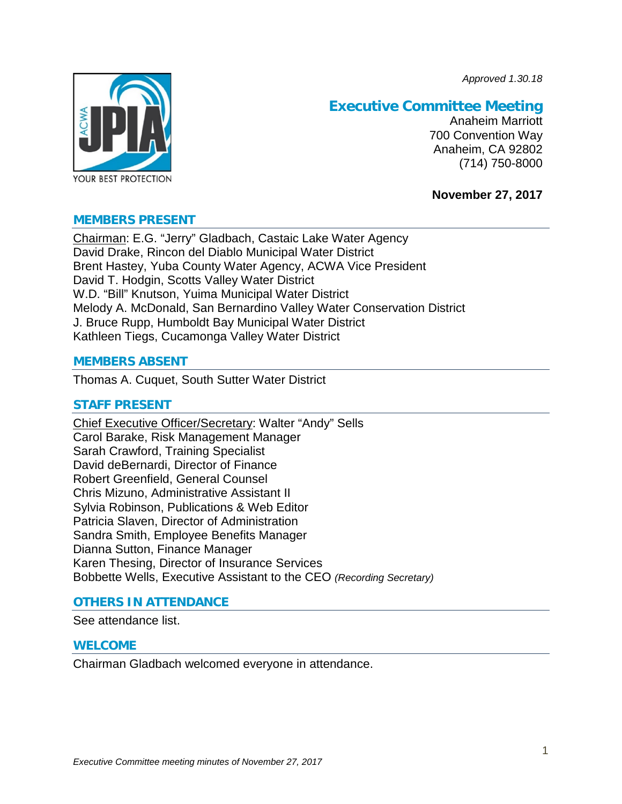*Approved 1.30.18*



# **Executive Committee Meeting**

Anaheim Marriott 700 Convention Way Anaheim, CA 92802 (714) 750-8000

# **November 27, 2017**

# **MEMBERS PRESENT**

Chairman: E.G. "Jerry" Gladbach, Castaic Lake Water Agency David Drake, Rincon del Diablo Municipal Water District Brent Hastey, Yuba County Water Agency, ACWA Vice President David T. Hodgin, Scotts Valley Water District W.D. "Bill" Knutson, Yuima Municipal Water District Melody A. McDonald, San Bernardino Valley Water Conservation District J. Bruce Rupp, Humboldt Bay Municipal Water District Kathleen Tiegs, Cucamonga Valley Water District

# **MEMBERS ABSENT**

Thomas A. Cuquet, South Sutter Water District

# **STAFF PRESENT**

Chief Executive Officer/Secretary: Walter "Andy" Sells Carol Barake, Risk Management Manager Sarah Crawford, Training Specialist David deBernardi, Director of Finance Robert Greenfield, General Counsel Chris Mizuno, Administrative Assistant II Sylvia Robinson, Publications & Web Editor Patricia Slaven, Director of Administration Sandra Smith, Employee Benefits Manager Dianna Sutton, Finance Manager Karen Thesing, Director of Insurance Services Bobbette Wells, Executive Assistant to the CEO *(Recording Secretary)*

# **OTHERS IN ATTENDANCE**

See attendance list.

### **WELCOME**

Chairman Gladbach welcomed everyone in attendance.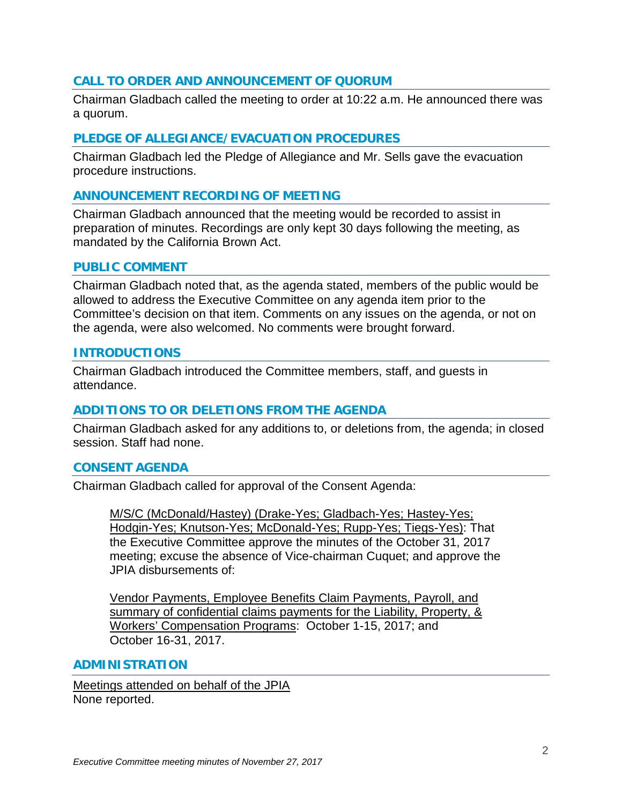# **CALL TO ORDER AND ANNOUNCEMENT OF QUORUM**

Chairman Gladbach called the meeting to order at 10:22 a.m. He announced there was a quorum.

# **PLEDGE OF ALLEGIANCE/EVACUATION PROCEDURES**

Chairman Gladbach led the Pledge of Allegiance and Mr. Sells gave the evacuation procedure instructions.

# **ANNOUNCEMENT RECORDING OF MEETING**

Chairman Gladbach announced that the meeting would be recorded to assist in preparation of minutes. Recordings are only kept 30 days following the meeting, as mandated by the California Brown Act.

#### **PUBLIC COMMENT**

Chairman Gladbach noted that, as the agenda stated, members of the public would be allowed to address the Executive Committee on any agenda item prior to the Committee's decision on that item. Comments on any issues on the agenda, or not on the agenda, were also welcomed. No comments were brought forward.

### **INTRODUCTIONS**

Chairman Gladbach introduced the Committee members, staff, and guests in attendance.

# **ADDITIONS TO OR DELETIONS FROM THE AGENDA**

Chairman Gladbach asked for any additions to, or deletions from, the agenda; in closed session. Staff had none.

### **CONSENT AGENDA**

Chairman Gladbach called for approval of the Consent Agenda:

M/S/C (McDonald/Hastey) (Drake-Yes; Gladbach-Yes; Hastey-Yes; Hodgin-Yes; Knutson-Yes; McDonald-Yes; Rupp-Yes; Tiegs-Yes): That the Executive Committee approve the minutes of the October 31, 2017 meeting; excuse the absence of Vice-chairman Cuquet; and approve the JPIA disbursements of:

Vendor Payments, Employee Benefits Claim Payments, Payroll, and summary of confidential claims payments for the Liability, Property, & Workers' Compensation Programs: October 1-15, 2017; and October 16-31, 2017.

### **ADMINISTRATION**

Meetings attended on behalf of the JPIA None reported.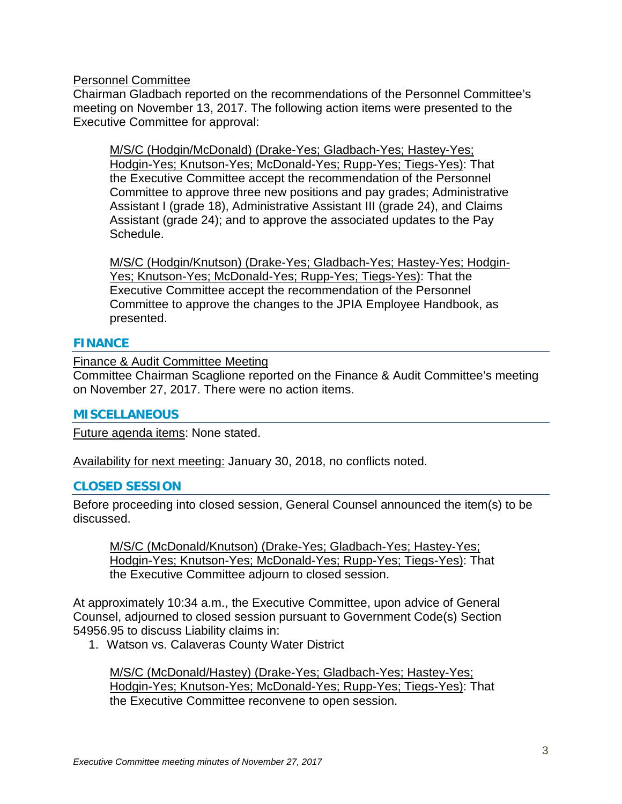Personnel Committee

Chairman Gladbach reported on the recommendations of the Personnel Committee's meeting on November 13, 2017. The following action items were presented to the Executive Committee for approval:

M/S/C (Hodgin/McDonald) (Drake-Yes; Gladbach-Yes; Hastey-Yes; Hodgin-Yes; Knutson-Yes; McDonald-Yes; Rupp-Yes; Tiegs-Yes): That the Executive Committee accept the recommendation of the Personnel Committee to approve three new positions and pay grades; Administrative Assistant I (grade 18), Administrative Assistant III (grade 24), and Claims Assistant (grade 24); and to approve the associated updates to the Pay Schedule.

M/S/C (Hodgin/Knutson) (Drake-Yes; Gladbach-Yes; Hastey-Yes; Hodgin-Yes; Knutson-Yes; McDonald-Yes; Rupp-Yes; Tiegs-Yes): That the Executive Committee accept the recommendation of the Personnel Committee to approve the changes to the JPIA Employee Handbook, as presented.

# **FINANCE**

Finance & Audit Committee Meeting

Committee Chairman Scaglione reported on the Finance & Audit Committee's meeting on November 27, 2017. There were no action items.

# **MISCELLANEOUS**

Future agenda items: None stated.

Availability for next meeting: January 30, 2018, no conflicts noted.

# **CLOSED SESSION**

Before proceeding into closed session, General Counsel announced the item(s) to be discussed.

M/S/C (McDonald/Knutson) (Drake-Yes; Gladbach-Yes; Hastey-Yes; Hodgin-Yes; Knutson-Yes; McDonald-Yes; Rupp-Yes; Tiegs-Yes): That the Executive Committee adjourn to closed session.

At approximately 10:34 a.m., the Executive Committee, upon advice of General Counsel, adjourned to closed session pursuant to Government Code(s) Section 54956.95 to discuss Liability claims in:

1. Watson vs. Calaveras County Water District

M/S/C (McDonald/Hastey) (Drake-Yes; Gladbach-Yes; Hastey-Yes; Hodgin-Yes; Knutson-Yes; McDonald-Yes; Rupp-Yes; Tiegs-Yes): That the Executive Committee reconvene to open session.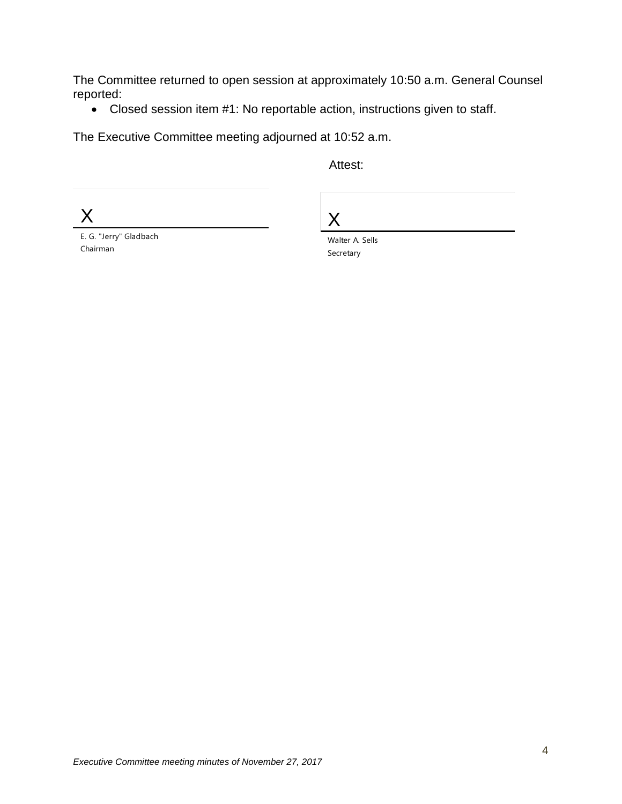The Committee returned to open session at approximately 10:50 a.m. General Counsel reported:

• Closed session item #1: No reportable action, instructions given to staff.

The Executive Committee meeting adjourned at 10:52 a.m.

Attest:

X

X

E. G. "Jerry" Gladbach Chairman

Walter A. Sells Secretary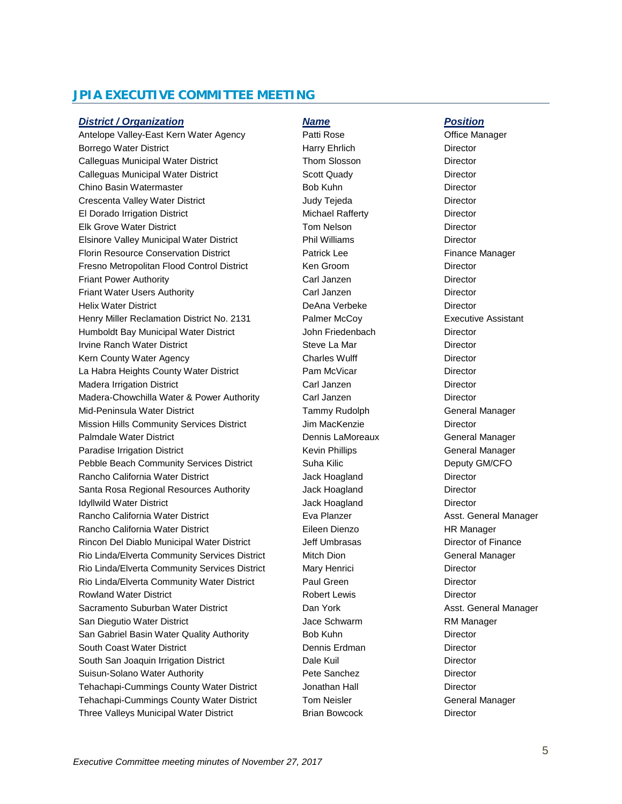# **JPIA EXECUTIVE COMMITTEE MEETING**

#### *District / Organization Name Position*

Antelope Valley-East Kern Water Agency **Patti Rose** Patti Rose **Office Manager** Borrego Water District **Harry Ehrlich Director Harry Ehrlich** Director Calleguas Municipal Water District Thom Slosson Director Calleguas Municipal Water District **Scott Quady Calleguas Municipal Water District** Control Boott Quady Director Chino Basin Watermaster **Bob Kuhn** Bob Kuhn Bob Kuhn Director Crescenta Valley Water District Judy Tejeda Director El Dorado Irrigation District **Michael Rafferty** Director Elk Grove Water District Tom Nelson Director Elsinore Valley Municipal Water District **Phil Williams** Phil Williams Director Florin Resource Conservation District **Finance Manager** Patrick Lee Finance Manager Fresno Metropolitan Flood Control District Ken Groom Netrol Director Friant Power Authority **Carl Janzen Carl Janzen** Director Friant Water Users Authority Carl Janzen Director Helix Water District DeAna Verbeke Director Henry Miller Reclamation District No. 2131 Palmer McCoy Executive Assistant Humboldt Bay Municipal Water District John Friedenbach Director Irvine Ranch Water District **Steve La Mar** Steve La Mar **Director** Director Kern County Water Agency **Charles Wulff** Charles Wulff **Charles Wulff Director** La Habra Heights County Water District **Pam McVicar Pam McVicar** Director Madera Irrigation District Carl Janzen Director Madera-Chowchilla Water & Power Authority Carl Janzen Director Mid-Peninsula Water District **National Accord Contract Contract Tammy Rudolph** General Manager Mission Hills Community Services District **Jim MacKenzie** Director Palmdale Water District Dennis LaMoreaux General Manager Paradise Irrigation District **Network** Kevin Phillips **General Manager** General Manager Pebble Beach Community Services District Suha Kilic Suha Kilic Deputy GM/CFO Rancho California Water District **California Contact California** Director Santa Rosa Regional Resources Authority **Santa Hoagland** Director **Idyllwild Water District Community Community Community Community Community Community Community Community Community** Rancho California Water District **Assemble 2** Eva Planzer **Asst. General Manager** Asst. General Manager Rancho California Water District **Eileen Dienzo** Eileen Dienzo HR Manager Rincon Del Diablo Municipal Water District **Jeff Umbrasas** Director of Finance Rio Linda/Elverta Community Services District Mitch Dion General Manager Rio Linda/Elverta Community Services District Mary Henrici **Community** Director Rio Linda/Elverta Community Water District **Paul Green** Paul Green **Director** Rowland Water District **Robert Lewis** Robert Lewis **Director** Sacramento Suburban Water District **Communist Claim York** Dan York **Asst. General Manager** San Diegutio Water District **Container Containers** Jace Schwarm **Manager** RM Manager San Gabriel Basin Water Quality Authority **Bob Kuhn** Bob Kuhn Director South Coast Water District **Director** Dennis Erdman Director South San Joaquin Irrigation District **Data Director** Dale Kuil Director Suisun-Solano Water Authority Pete Sanchez Director Tehachapi-Cummings County Water District Jonathan Hall Director Tehachapi-Cummings County Water District Tom Neisler General Manager Three Valleys Municipal Water District **Brian Bowcock** Director